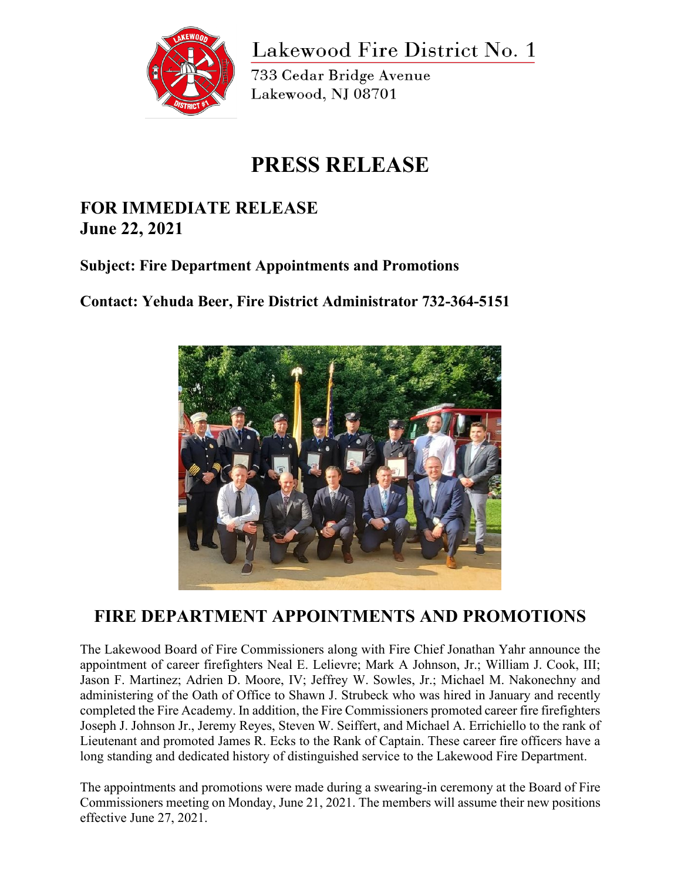

Lakewood Fire District No. 1

733 Cedar Bridge Avenue Lakewood, NJ 08701

## **PRESS RELEASE**

## **FOR IMMEDIATE RELEASE June 22, 2021**

## **Subject: Fire Department Appointments and Promotions**

**Contact: Yehuda Beer, Fire District Administrator 732-364-5151**



## **FIRE DEPARTMENT APPOINTMENTS AND PROMOTIONS**

The Lakewood Board of Fire Commissioners along with Fire Chief Jonathan Yahr announce the appointment of career firefighters Neal E. Lelievre; Mark A Johnson, Jr.; William J. Cook, III; Jason F. Martinez; Adrien D. Moore, IV; Jeffrey W. Sowles, Jr.; Michael M. Nakonechny and administering of the Oath of Office to Shawn J. Strubeck who was hired in January and recently completed the Fire Academy. In addition, the Fire Commissioners promoted career fire firefighters Joseph J. Johnson Jr., Jeremy Reyes, Steven W. Seiffert, and Michael A. Errichiello to the rank of Lieutenant and promoted James R. Ecks to the Rank of Captain. These career fire officers have a long standing and dedicated history of distinguished service to the Lakewood Fire Department.

The appointments and promotions were made during a swearing-in ceremony at the Board of Fire Commissioners meeting on Monday, June 21, 2021. The members will assume their new positions effective June 27, 2021.